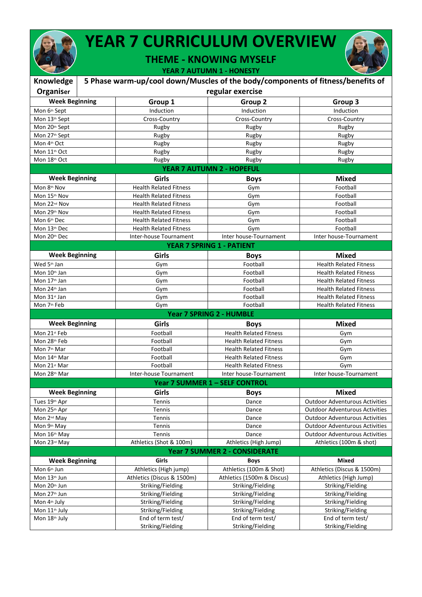## **YEAR 7 CURRICULUM OVERVIEW**

**THEME - KNOWING MYSELF**

**YEAR 7 AUTUMN 1 - HONESTY**

| Knowledge                                  |  | 5 Phase warm-up/cool down/Muscles of the body/components of fitness/benefits of |                                        |                                        |  |
|--------------------------------------------|--|---------------------------------------------------------------------------------|----------------------------------------|----------------------------------------|--|
| <b>Organiser</b>                           |  | regular exercise                                                                |                                        |                                        |  |
| <b>Week Beginning</b>                      |  | Group 1                                                                         | Group 2                                | Group 3                                |  |
| Mon 6th Sept                               |  | Induction                                                                       | Induction                              | Induction                              |  |
| Mon 13th Sept                              |  | Cross-Country                                                                   | Cross-Country                          | Cross-Country                          |  |
| Mon 20th Sept                              |  | Rugby                                                                           | Rugby                                  | Rugby                                  |  |
| Mon 27 <sup>th</sup> Sept                  |  | Rugby                                                                           | Rugby                                  | Rugby                                  |  |
| Mon 4th Oct                                |  | Rugby                                                                           | Rugby                                  | Rugby                                  |  |
| Mon 11 <sup>th</sup> Oct                   |  | Rugby                                                                           | Rugby                                  | Rugby                                  |  |
| Mon 18th Oct                               |  | Rugby                                                                           | Rugby                                  | Rugby                                  |  |
|                                            |  |                                                                                 | YEAR 7 AUTUMN 2 - HOPEFUL              |                                        |  |
| <b>Week Beginning</b>                      |  | Girls                                                                           | <b>Boys</b>                            | <b>Mixed</b>                           |  |
| Mon 8th Nov                                |  | <b>Health Related Fitness</b>                                                   | Gym                                    | Football                               |  |
| Mon 15th Nov                               |  | <b>Health Related Fitness</b>                                                   | Gym                                    | Football                               |  |
| Mon 22 <sup>nd</sup> Nov                   |  | <b>Health Related Fitness</b>                                                   | Gym                                    | Football                               |  |
| Mon 29th Nov                               |  | <b>Health Related Fitness</b>                                                   | Gym                                    | Football                               |  |
| Mon 6th Dec                                |  | <b>Health Related Fitness</b>                                                   | Gym                                    | Football                               |  |
| Mon 13th Dec                               |  | <b>Health Related Fitness</b>                                                   | Gym                                    | Football                               |  |
| Mon 20th Dec                               |  | Inter-house Tournament                                                          | Inter house-Tournament                 | Inter house-Tournament                 |  |
|                                            |  |                                                                                 | <b>YEAR 7 SPRING 1 - PATIENT</b>       |                                        |  |
| <b>Week Beginning</b>                      |  | Girls                                                                           | <b>Boys</b>                            | <b>Mixed</b>                           |  |
| Wed 5th Jan                                |  | Gym                                                                             | Football                               | <b>Health Related Fitness</b>          |  |
| Mon 10th Jan                               |  | Gym                                                                             | Football                               | <b>Health Related Fitness</b>          |  |
| Mon 17 <sup>th</sup> Jan                   |  | Gym                                                                             | Football                               | <b>Health Related Fitness</b>          |  |
| Mon 24th Jan                               |  | Gym                                                                             | Football                               | <b>Health Related Fitness</b>          |  |
| Mon $31$ <sup>st</sup> Jan                 |  | Gym                                                                             | Football                               | <b>Health Related Fitness</b>          |  |
| Mon 7 <sup>th</sup> Feb                    |  | Gym                                                                             | Football                               | <b>Health Related Fitness</b>          |  |
|                                            |  |                                                                                 | Year 7 SPRING 2 - HUMBLE               |                                        |  |
| <b>Week Beginning</b>                      |  | Girls                                                                           | <b>Boys</b>                            | <b>Mixed</b>                           |  |
| Mon 21st Feb                               |  | Football                                                                        | <b>Health Related Fitness</b>          | Gym                                    |  |
| Mon 28th Feb                               |  | Football                                                                        | <b>Health Related Fitness</b>          | Gym                                    |  |
| Mon 7 <sup>th</sup> Mar                    |  | Football                                                                        | <b>Health Related Fitness</b>          | Gym                                    |  |
| Mon 14 <sup>th</sup> Mar                   |  | Football                                                                        | <b>Health Related Fitness</b>          | Gym                                    |  |
| Mon 21st Mar                               |  | Football                                                                        | <b>Health Related Fitness</b>          | Gym                                    |  |
| Mon 28th Mar                               |  | Inter-house Tournament                                                          | Inter house-Tournament                 | Inter house-Tournament                 |  |
|                                            |  |                                                                                 | Year 7 SUMMER 1 - SELF CONTROL         |                                        |  |
| <b>Week Beginning</b>                      |  | Girls                                                                           | <b>Boys</b>                            | <b>Mixed</b>                           |  |
| Tues 19th Apr                              |  | Tennis                                                                          | Dance                                  | <b>Outdoor Adventurous Activities</b>  |  |
| Mon 25th Apr                               |  | Tennis                                                                          | Dance                                  | <b>Outdoor Adventurous Activities</b>  |  |
| Mon 2 <sup>nd</sup> May                    |  | Tennis                                                                          | Dance                                  | <b>Outdoor Adventurous Activities</b>  |  |
| Mon 9th May                                |  | Tennis                                                                          | Dance                                  | <b>Outdoor Adventurous Activities</b>  |  |
| Mon 16th May                               |  | Tennis                                                                          | Dance                                  | <b>Outdoor Adventurous Activities</b>  |  |
| Mon 23 <sup>rd</sup> May                   |  | Athletics (Shot & 100m)                                                         | Athletics (High Jump)                  | Athletics (100m & shot)                |  |
|                                            |  |                                                                                 | <b>Year 7 SUMMER 2 - CONSIDERATE</b>   |                                        |  |
| <b>Week Beginning</b>                      |  | Girls                                                                           | <b>Boys</b>                            | <b>Mixed</b>                           |  |
| Mon 6th Jun                                |  | Athletics (High jump)                                                           | Athletics (100m & Shot)                | Athletics (Discus & 1500m)             |  |
| Mon 13th Jun                               |  | Athletics (Discus & 1500m)                                                      | Athletics (1500m & Discus)             | Athletics (High Jump)                  |  |
| Mon 20th Jun                               |  | Striking/Fielding                                                               | Striking/Fielding                      | Striking/Fielding                      |  |
| Mon 27 <sup>th</sup> Jun                   |  | Striking/Fielding                                                               | Striking/Fielding                      | Striking/Fielding                      |  |
|                                            |  |                                                                                 |                                        |                                        |  |
|                                            |  |                                                                                 |                                        |                                        |  |
| Mon 4 <sup>th</sup> July                   |  | Striking/Fielding                                                               | Striking/Fielding                      | Striking/Fielding                      |  |
| Mon 11 <sup>th</sup> July<br>Mon 18th July |  | Striking/Fielding<br>End of term test/                                          | Striking/Fielding<br>End of term test/ | Striking/Fielding<br>End of term test/ |  |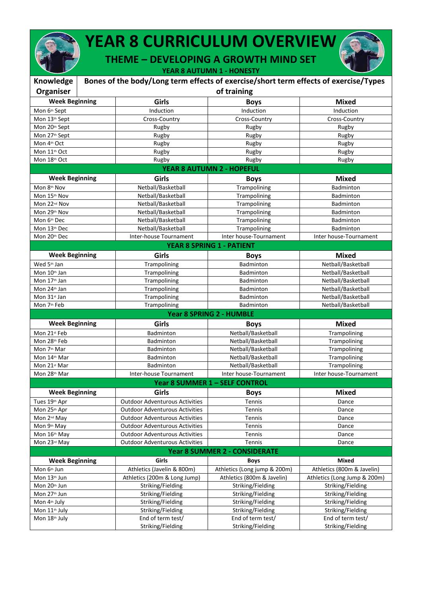

## **YEAR 8 CURRICULUM OVERVIEW**

**THEME – DEVELOPING A GROWTH MIND SET**

**YEAR 8 AUTUMN 1 - HONESTY**

| Knowledge                 | Bones of the body/Long term effects of exercise/short term effects of exercise/Types |                                       |                                      |                              |  |
|---------------------------|--------------------------------------------------------------------------------------|---------------------------------------|--------------------------------------|------------------------------|--|
| Organiser                 |                                                                                      | of training                           |                                      |                              |  |
| <b>Week Beginning</b>     |                                                                                      | Girls                                 | <b>Boys</b>                          | <b>Mixed</b>                 |  |
| Mon 6th Sept              |                                                                                      | Induction                             | Induction                            | Induction                    |  |
| Mon 13th Sept             |                                                                                      | Cross-Country                         | Cross-Country                        | Cross-Country                |  |
| Mon 20th Sept             |                                                                                      | Rugby                                 | Rugby                                | Rugby                        |  |
| Mon 27 <sup>th</sup> Sept |                                                                                      | Rugby                                 | Rugby                                | Rugby                        |  |
| Mon 4th Oct               |                                                                                      | Rugby                                 | Rugby                                | Rugby                        |  |
| Mon 11th Oct              |                                                                                      | Rugby                                 | Rugby                                | Rugby                        |  |
| Mon 18th Oct              |                                                                                      | Rugby                                 | Rugby                                | Rugby                        |  |
|                           |                                                                                      |                                       | YEAR 8 AUTUMN 2 - HOPEFUL            |                              |  |
| <b>Week Beginning</b>     |                                                                                      | Girls                                 | <b>Boys</b>                          | <b>Mixed</b>                 |  |
| Mon 8th Nov               |                                                                                      | Netball/Basketball                    | Trampolining                         | Badminton                    |  |
| Mon 15th Nov              |                                                                                      | Netball/Basketball                    | Trampolining                         | Badminton                    |  |
| Mon 22 <sup>nd</sup> Nov  |                                                                                      | Netball/Basketball                    | Trampolining                         | <b>Badminton</b>             |  |
| Mon 29th Nov              |                                                                                      | Netball/Basketball                    | Trampolining                         | <b>Badminton</b>             |  |
| Mon 6th Dec               |                                                                                      | Netball/Basketball                    | Trampolining                         | Badminton                    |  |
| Mon 13th Dec              |                                                                                      | Netball/Basketball                    | Trampolining                         | <b>Badminton</b>             |  |
| Mon 20th Dec              |                                                                                      | Inter-house Tournament                | Inter house-Tournament               | Inter house-Tournament       |  |
|                           |                                                                                      |                                       | <b>YEAR 8 SPRING 1 - PATIENT</b>     |                              |  |
| <b>Week Beginning</b>     |                                                                                      | Girls                                 | <b>Boys</b>                          | <b>Mixed</b>                 |  |
| Wed 5th Jan               |                                                                                      | Trampolining                          | Badminton                            | Netball/Basketball           |  |
| Mon 10th Jan              |                                                                                      | Trampolining                          | Badminton                            | Netball/Basketball           |  |
| Mon 17 <sup>th</sup> Jan  |                                                                                      | Trampolining                          | Badminton                            | Netball/Basketball           |  |
| Mon 24 <sup>th</sup> Jan  |                                                                                      | Trampolining                          | Badminton                            | Netball/Basketball           |  |
| Mon 31st Jan              |                                                                                      | Trampolining                          | Badminton                            | Netball/Basketball           |  |
| Mon 7 <sup>th</sup> Feb   |                                                                                      | Trampolining                          | Badminton                            | Netball/Basketball           |  |
|                           |                                                                                      |                                       | Year 8 SPRING 2 - HUMBLE             |                              |  |
| <b>Week Beginning</b>     |                                                                                      | Girls                                 | <b>Boys</b>                          | <b>Mixed</b>                 |  |
| Mon 21st Feb              |                                                                                      | Badminton                             | Netball/Basketball                   | Trampolining                 |  |
| Mon 28th Feb              |                                                                                      | Badminton                             | Netball/Basketball                   | Trampolining                 |  |
| Mon 7 <sup>th</sup> Mar   |                                                                                      | <b>Badminton</b>                      | Netball/Basketball                   | Trampolining                 |  |
| Mon 14th Mar              |                                                                                      | Badminton                             | Netball/Basketball                   | Trampolining                 |  |
| Mon 21st Mar              |                                                                                      | Badminton                             | Netball/Basketball                   | Trampolining                 |  |
| Mon 28th Mar              |                                                                                      | Inter-house Tournament                | Inter house-Tournament               | Inter house-Tournament       |  |
|                           |                                                                                      |                                       | Year 8 SUMMER 1 - SELF CONTROL       |                              |  |
| <b>Week Beginning</b>     |                                                                                      | Girls                                 | <b>Boys</b>                          | <b>Mixed</b>                 |  |
| Tues 19th Apr             |                                                                                      | <b>Outdoor Adventurous Activities</b> | Tennis                               | Dance                        |  |
| Mon 25th Apr              |                                                                                      | <b>Outdoor Adventurous Activities</b> | Tennis                               | Dance                        |  |
| Mon 2 <sup>nd</sup> May   |                                                                                      | <b>Outdoor Adventurous Activities</b> | Tennis                               | Dance                        |  |
| Mon 9th May               |                                                                                      | <b>Outdoor Adventurous Activities</b> | Tennis                               | Dance                        |  |
| Mon 16th May              |                                                                                      | <b>Outdoor Adventurous Activities</b> | Tennis                               | Dance                        |  |
| Mon 23rd May              |                                                                                      | <b>Outdoor Adventurous Activities</b> | Tennis                               | Dance                        |  |
|                           |                                                                                      |                                       | <b>Year 8 SUMMER 2 - CONSIDERATE</b> |                              |  |
| <b>Week Beginning</b>     |                                                                                      | Girls                                 | <b>Boys</b>                          | Mixed                        |  |
| Mon 6 <sup>th</sup> Jun   |                                                                                      | Athletics (Javelin & 800m)            | Athletics (Long jump & 200m)         | Athletics (800m & Javelin)   |  |
| Mon 13th Jun              |                                                                                      | Athletics (200m & Long Jump)          | Athletics (800m & Javelin)           | Athletics (Long Jump & 200m) |  |
| Mon 20th Jun              |                                                                                      | Striking/Fielding                     | Striking/Fielding                    | Striking/Fielding            |  |
| Mon 27 <sup>th</sup> Jun  |                                                                                      | Striking/Fielding                     | Striking/Fielding                    | Striking/Fielding            |  |
| Mon 4th July              |                                                                                      | Striking/Fielding                     | Striking/Fielding                    | Striking/Fielding            |  |
| Mon 11 <sup>th</sup> July |                                                                                      | Striking/Fielding                     | Striking/Fielding                    | Striking/Fielding            |  |
| Mon 18th July             |                                                                                      | End of term test/                     | End of term test/                    | End of term test/            |  |
|                           |                                                                                      | Striking/Fielding                     | Striking/Fielding                    | Striking/Fielding            |  |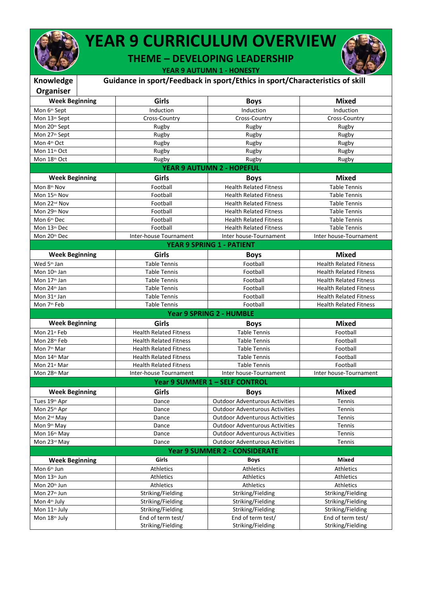

## **YEAR 9 CURRICULUM OVERVIEW**

**THEME – DEVELOPING LEADERSHIP**

**YEAR 9 AUTUMN 1 - HONESTY**

| Knowledge                                  |                                        | Guidance in sport/Feedback in sport/Ethics in sport/Characteristics of skill   |                                        |
|--------------------------------------------|----------------------------------------|--------------------------------------------------------------------------------|----------------------------------------|
| Organiser                                  |                                        |                                                                                |                                        |
| <b>Week Beginning</b>                      | Girls                                  | <b>Boys</b>                                                                    | <b>Mixed</b>                           |
| Mon 6th Sept                               | Induction                              | Induction                                                                      | Induction                              |
| Mon 13th Sept                              | Cross-Country                          | Cross-Country                                                                  | Cross-Country                          |
| Mon 20th Sept                              | Rugby                                  | Rugby                                                                          | Rugby                                  |
| Mon 27th Sept                              | Rugby                                  | Rugby                                                                          | Rugby                                  |
| Mon 4th Oct                                | Rugby                                  | Rugby                                                                          | Rugby                                  |
| Mon 11 <sup>th</sup> Oct                   | Rugby                                  | Rugby                                                                          | Rugby                                  |
| Mon 18th Oct                               | Rugby                                  | Rugby                                                                          | Rugby                                  |
|                                            |                                        | YEAR 9 AUTUMN 2 - HOPEFUL                                                      |                                        |
| <b>Week Beginning</b>                      | Girls                                  | <b>Boys</b>                                                                    | <b>Mixed</b>                           |
| Mon 8th Nov                                | Football                               | <b>Health Related Fitness</b>                                                  | <b>Table Tennis</b>                    |
| Mon 15th Nov                               | Football                               | <b>Health Related Fitness</b>                                                  | <b>Table Tennis</b>                    |
| Mon 22 <sup>nd</sup> Nov                   | Football                               | <b>Health Related Fitness</b>                                                  | <b>Table Tennis</b>                    |
| Mon 29th Nov                               | Football                               | <b>Health Related Fitness</b>                                                  | <b>Table Tennis</b>                    |
| Mon 6th Dec                                | Football                               | <b>Health Related Fitness</b>                                                  | <b>Table Tennis</b>                    |
| Mon 13th Dec                               | Football                               | <b>Health Related Fitness</b>                                                  | <b>Table Tennis</b>                    |
| Mon 20th Dec                               | Inter-house Tournament                 | Inter house-Tournament                                                         | Inter house-Tournament                 |
|                                            |                                        | <b>YEAR 9 SPRING 1 - PATIENT</b>                                               |                                        |
|                                            |                                        |                                                                                |                                        |
| <b>Week Beginning</b>                      | Girls                                  | <b>Boys</b>                                                                    | <b>Mixed</b>                           |
| Wed 5th Jan                                | <b>Table Tennis</b>                    | Football                                                                       | <b>Health Related Fitness</b>          |
| Mon 10th Jan                               | <b>Table Tennis</b>                    | Football                                                                       | <b>Health Related Fitness</b>          |
| Mon 17 <sup>th</sup> Jan                   | <b>Table Tennis</b>                    | Football                                                                       | <b>Health Related Fitness</b>          |
| Mon 24th Jan                               | <b>Table Tennis</b>                    | Football                                                                       | <b>Health Related Fitness</b>          |
| Mon 31st Jan                               | <b>Table Tennis</b>                    | Football                                                                       | <b>Health Related Fitness</b>          |
|                                            |                                        |                                                                                |                                        |
| Mon 7 <sup>th</sup> Feb                    | <b>Table Tennis</b>                    | Football                                                                       | <b>Health Related Fitness</b>          |
|                                            |                                        | <b>Year 9 SPRING 2 - HUMBLE</b>                                                |                                        |
| <b>Week Beginning</b>                      | Girls                                  | <b>Boys</b>                                                                    | <b>Mixed</b>                           |
| Mon 21st Feb                               | <b>Health Related Fitness</b>          | <b>Table Tennis</b>                                                            | Football                               |
| Mon 28th Feb                               | <b>Health Related Fitness</b>          | <b>Table Tennis</b>                                                            | Football                               |
| Mon 7 <sup>th</sup> Mar                    | <b>Health Related Fitness</b>          | <b>Table Tennis</b>                                                            | Football                               |
| Mon 14 <sup>th</sup> Mar                   | <b>Health Related Fitness</b>          | <b>Table Tennis</b>                                                            | Football                               |
| Mon 21st Mar                               | <b>Health Related Fitness</b>          | <b>Table Tennis</b>                                                            | Football                               |
| Mon 28th Mar                               | Inter-house Tournament                 | Inter house-Tournament                                                         | Inter house-Tournament                 |
|                                            |                                        | Year 9 SUMMER 1 - SELF CONTROL                                                 |                                        |
| <b>Week Beginning</b>                      | Girls                                  |                                                                                | <b>Mixed</b>                           |
| Tues 19th Apr                              | Dance                                  | <b>Boys</b><br><b>Outdoor Adventurous Activities</b>                           | Tennis                                 |
|                                            | Dance                                  | <b>Outdoor Adventurous Activities</b>                                          | Tennis                                 |
| Mon 25th Apr<br>Mon 2 <sup>nd</sup> May    | Dance                                  | <b>Outdoor Adventurous Activities</b>                                          | Tennis                                 |
| Mon 9 <sup>th</sup> May                    | Dance                                  |                                                                                |                                        |
|                                            | Dance                                  | <b>Outdoor Adventurous Activities</b><br><b>Outdoor Adventurous Activities</b> | Tennis<br>Tennis                       |
| Mon 16th May<br>Mon 23 <sup>rd</sup> May   | Dance                                  | <b>Outdoor Adventurous Activities</b>                                          | Tennis                                 |
|                                            |                                        |                                                                                |                                        |
|                                            | Girls                                  | <b>Year 9 SUMMER 2 - CONSIDERATE</b>                                           | <b>Mixed</b>                           |
| <b>Week Beginning</b>                      |                                        | <b>Boys</b>                                                                    |                                        |
| Mon 6 <sup>th</sup> Jun                    | Athletics                              | Athletics                                                                      | Athletics                              |
| Mon 13th Jun                               | Athletics                              | Athletics                                                                      | Athletics                              |
| Mon 20th Jun                               | Athletics                              | Athletics                                                                      | Athletics                              |
| Mon 27 <sup>th</sup> Jun                   | Striking/Fielding                      | Striking/Fielding                                                              | Striking/Fielding                      |
| Mon 4th July                               | Striking/Fielding                      | Striking/Fielding                                                              | Striking/Fielding                      |
| Mon 11 <sup>th</sup> July<br>Mon 18th July | Striking/Fielding<br>End of term test/ | Striking/Fielding<br>End of term test/                                         | Striking/Fielding<br>End of term test/ |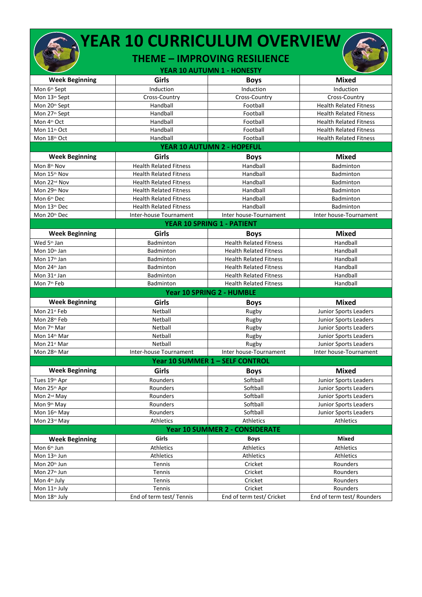|                           | <b>YEAR 10 CURRICULUM OVERVIEW</b> | <b>THEME - IMPROVING RESILIENCE</b><br>YEAR 10 AUTUMN 1 - HONESTY |                               |
|---------------------------|------------------------------------|-------------------------------------------------------------------|-------------------------------|
| <b>Week Beginning</b>     | Girls                              | <b>Boys</b>                                                       | <b>Mixed</b>                  |
| Mon 6th Sept              | Induction                          | Induction                                                         | Induction                     |
| Mon 13th Sept             | Cross-Country                      | Cross-Country                                                     | Cross-Country                 |
| Mon 20th Sept             | Handball                           | Football                                                          | <b>Health Related Fitness</b> |
| Mon 27th Sept             | Handball                           | Football                                                          | <b>Health Related Fitness</b> |
| Mon 4th Oct               | Handball                           | Football                                                          | <b>Health Related Fitness</b> |
| Mon 11 <sup>th</sup> Oct  | Handball                           | Football                                                          | <b>Health Related Fitness</b> |
| Mon 18th Oct              | Handball                           | Football                                                          | <b>Health Related Fitness</b> |
|                           |                                    | YEAR 10 AUTUMN 2 - HOPEFUL                                        |                               |
|                           |                                    |                                                                   |                               |
| <b>Week Beginning</b>     | Girls                              | <b>Boys</b>                                                       | Mixed                         |
| Mon 8th Nov               | <b>Health Related Fitness</b>      | Handball                                                          | <b>Badminton</b>              |
| Mon 15th Nov              | <b>Health Related Fitness</b>      | Handball                                                          | <b>Badminton</b>              |
| Mon 22 <sup>nd</sup> Nov  | <b>Health Related Fitness</b>      | Handball                                                          | Badminton                     |
| Mon 29th Nov              | <b>Health Related Fitness</b>      | Handball                                                          | <b>Badminton</b>              |
| Mon 6th Dec               | <b>Health Related Fitness</b>      | Handball                                                          | <b>Badminton</b>              |
| Mon 13th Dec              | <b>Health Related Fitness</b>      | Handball                                                          | <b>Badminton</b>              |
| Mon 20th Dec              | Inter-house Tournament             | Inter house-Tournament                                            | Inter house-Tournament        |
|                           |                                    | YEAR 10 SPRING 1 - PATIENT                                        |                               |
| <b>Week Beginning</b>     | Girls                              | <b>Boys</b>                                                       | Mixed                         |
| Wed 5th Jan               | Badminton                          | <b>Health Related Fitness</b>                                     | Handball                      |
| Mon 10th Jan              | <b>Badminton</b>                   | <b>Health Related Fitness</b>                                     | Handball                      |
| Mon 17 <sup>th</sup> Jan  | Badminton                          | <b>Health Related Fitness</b>                                     | Handball                      |
| Mon 24th Jan              | <b>Badminton</b>                   | <b>Health Related Fitness</b>                                     | Handball                      |
| Mon 31st Jan              | <b>Badminton</b>                   | <b>Health Related Fitness</b>                                     | Handball                      |
| Mon 7th Feb               | <b>Badminton</b>                   | <b>Health Related Fitness</b>                                     | Handball                      |
|                           |                                    | Year 10 SPRING 2 - HUMBLE                                         |                               |
| <b>Week Beginning</b>     | Girls                              | <b>Boys</b>                                                       | <b>Mixed</b>                  |
| Mon 21st Feb              | Netball                            | Rugby                                                             | Junior Sports Leaders         |
| Mon 28th Feb              | Netball                            | Rugby                                                             | Junior Sports Leaders         |
| Mon 7 <sup>th</sup> Mar   | Netball                            | Rugby                                                             | Junior Sports Leaders         |
| Mon 14th Mar              | Netball                            | Rugby                                                             | Junior Sports Leaders         |
| Mon 21st Mar              | Netball                            | Rugby                                                             | Junior Sports Leaders         |
| Mon 28 <sup>th</sup> Mar  | Inter-house Tournament             | Inter house-Tournament                                            | Inter house-Tournament        |
|                           |                                    | Year 10 SUMMER 1 - SELF CONTROL                                   |                               |
| <b>Week Beginning</b>     | Girls                              | <b>Boys</b>                                                       | <b>Mixed</b>                  |
| Tues 19th Apr             | Rounders                           | Softball                                                          | Junior Sports Leaders         |
| Mon 25th Apr              | Rounders                           | Softball                                                          | Junior Sports Leaders         |
| Mon 2 <sup>nd</sup> May   | Rounders                           | Softball                                                          | Junior Sports Leaders         |
| Mon 9th May               | Rounders                           | Softball                                                          | Junior Sports Leaders         |
| Mon 16th May              | Rounders                           | Softball                                                          | Junior Sports Leaders         |
| Mon 23rd May              | Athletics                          | Athletics                                                         | Athletics                     |
|                           |                                    | <b>Year 10 SUMMER 2 - CONSIDERATE</b>                             |                               |
| <b>Week Beginning</b>     | Girls                              | <b>Boys</b>                                                       | Mixed                         |
| Mon 6 <sup>th</sup> Jun   | Athletics                          | Athletics                                                         | <b>Athletics</b>              |
| Mon 13th Jun              | Athletics                          | <b>Athletics</b>                                                  | <b>Athletics</b>              |
| Mon 20th Jun              | Tennis                             | Cricket                                                           | Rounders                      |
| Mon 27 <sup>th</sup> Jun  | Tennis                             | Cricket                                                           | Rounders                      |
| Mon 4th July              | Tennis                             | Cricket                                                           | Rounders                      |
| Mon 11 <sup>th</sup> July | Tennis                             | Cricket                                                           | Rounders                      |
| Mon 18th July             | End of term test/ Tennis           | End of term test/ Cricket                                         | End of term test/ Rounders    |